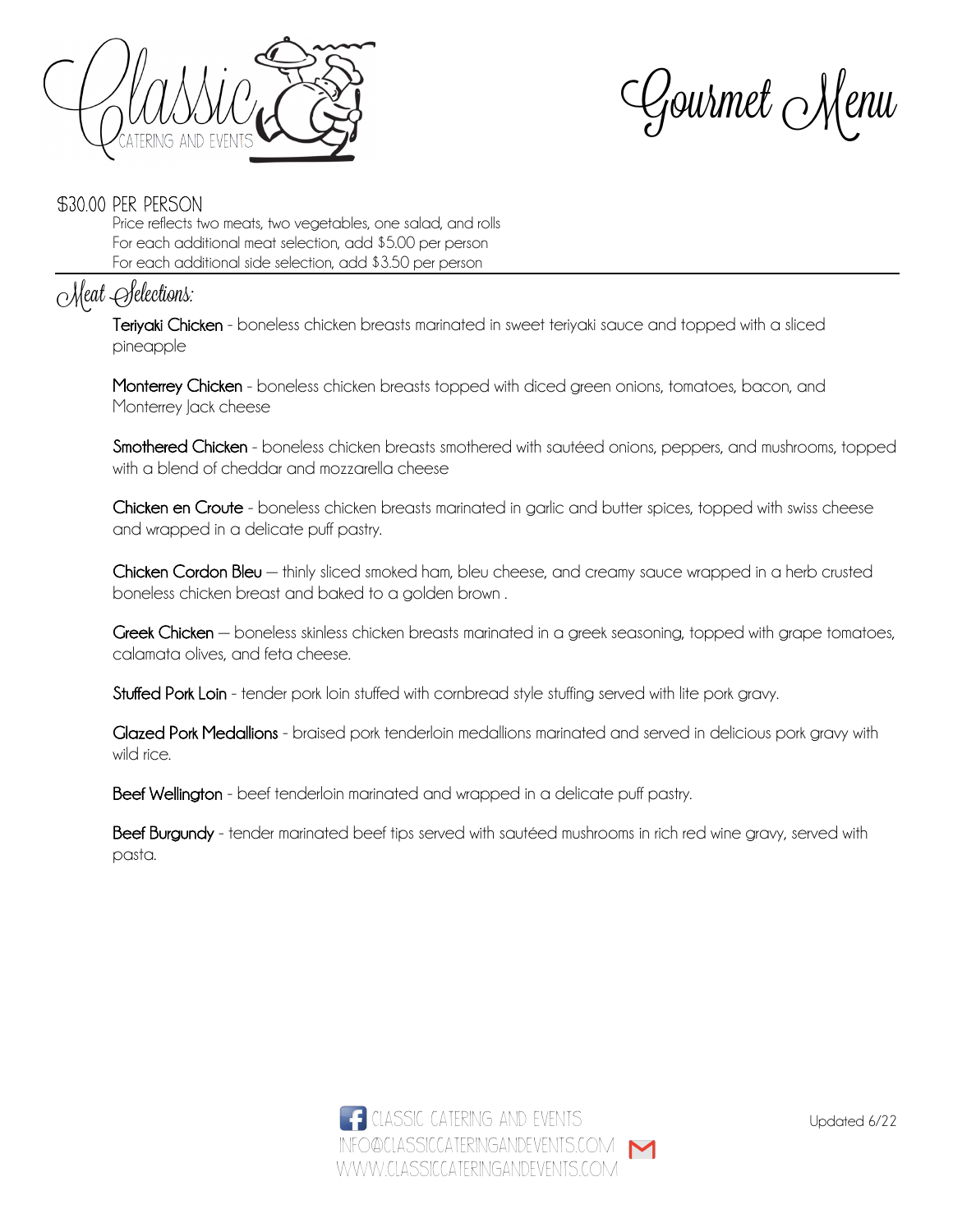

Gourmet Menu

#### \$30.00 per person

Price reflects two meats, two vegetables, one salad, and rolls For each additional meat selection, add \$5.00 per person For each additional side selection, add \$3.50 per person

## Meat Selections:

Teriyaki Chicken - boneless chicken breasts marinated in sweet teriyaki sauce and topped with a sliced pineapple

Monterrey Chicken - boneless chicken breasts topped with diced green onions, tomatoes, bacon, and Monterrey lack cheese

Smothered Chicken - boneless chicken breasts smothered with sautéed onions, peppers, and mushrooms, topped with a blend of cheddar and mozzarella cheese

Chicken en Croute - boneless chicken breasts marinated in garlic and butter spices, topped with swiss cheese and wrapped in a delicate puff pastry.

Chicken Cordon Bleu - thinly sliced smoked ham, bleu cheese, and creamy sauce wrapped in a herb crusted boneless chicken breast and baked to a golden brown .

Greek Chicken – boneless skinless chicken breasts marinated in a greek seasoning, topped with grape tomatoes, calamata olives, and feta cheese.

Stuffed Pork Loin - tender pork loin stuffed with cornbread style stuffing served with lite pork gravy.

Glazed Pork Medallions - braised pork tenderloin medallions marinated and served in delicious pork gravy with wild rice.

Beef Wellington - beef tenderloin marinated and wrapped in a delicate puff pastry.

Beef Burgundy - tender marinated beef tips served with sautéed mushrooms in rich red wine gravy, served with pasta.